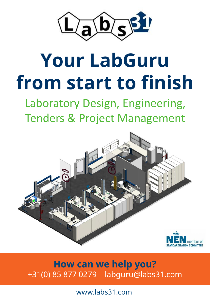

# **Your LabGuru from start to finish**

Laboratory Design, Engineering, Tenders & Project Management



**How can we help you?** +31(0) 85 877 0279 labguru@labs31.com

www.labs31.com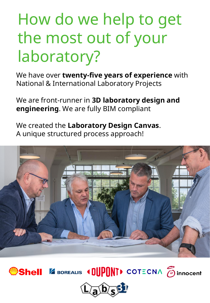## How do we help to get the most out of your laboratory?

We have over **twenty-five years of experience** with National & International Laboratory Projects

We are front-runner in **3D laboratory design and engineering**. We are fully BIM compliant

We created the **Laboratory Design Canvas**. A unique structured process approach!





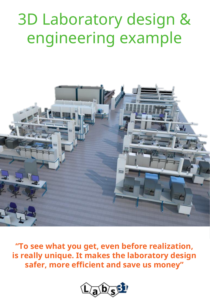#### 3D Laboratory design & engineering example



**"To see what you get, even before realization, is really unique. It makes the laboratory design safer, more efficient and save us money"**

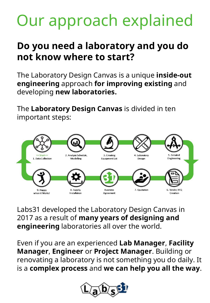# Our approach explained

#### **Do you need a laboratory and you do not know where to start?**

The Laboratory Design Canvas is a unique **inside-out engineering** approach **for improving existing** and developing **new laboratories.**

The **Laboratory Design Canvas** is divided in ten important steps:



Labs31 developed the Laboratory Design Canvas in 2017 as a result of **many years of designing and engineering** laboratories all over the world.

Even if you are an experienced **Lab Manager**, **Facility Manager**, **Engineer** or **Project Manager**. Building or renovating a laboratory is not something you do daily. It is a **complex process** and **we can help you all the way**.

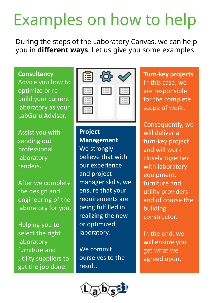# Examples on how to help

During the steps of the Laboratory Canvas, we can help you in **different ways**. Let us give you some examples.

**Consultancy** Advice you how to optimize or rebuild your current laboratory as your LabGuru Advisor.

Assist you with sending out professional laboratory tenders.

After we complete the design and engineering of the laboratory for you.

Helping you to select the right laboratory furniture and utility suppliers to get the job done.



**Project Management** We strongly believe that with our experience and project manager skills, we ensure that your requirements are being fulfilled in realizing the new or optimized laboratory.

We commit ourselves to the result.



**Turn-key projects** In this case, we are responsible for the complete scope of work.

Consequently, we will deliver a turn-key project and will work closely together with laboratory equipment, furniture and utility providers and of course the building constructor.

In the end, we will ensure you get what we agreed upon.